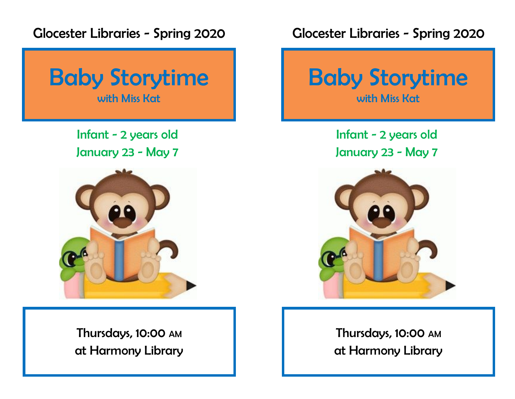Glocester Libraries - Spring 2020



Infant - 2 years old January 23 - May 7



Thursdays, 10:00 AM at Harmony Library Glocester Libraries - Spring 2020



Infant - 2 years old January 23 - May 7



Thursdays, 10:00 AM at Harmony Library